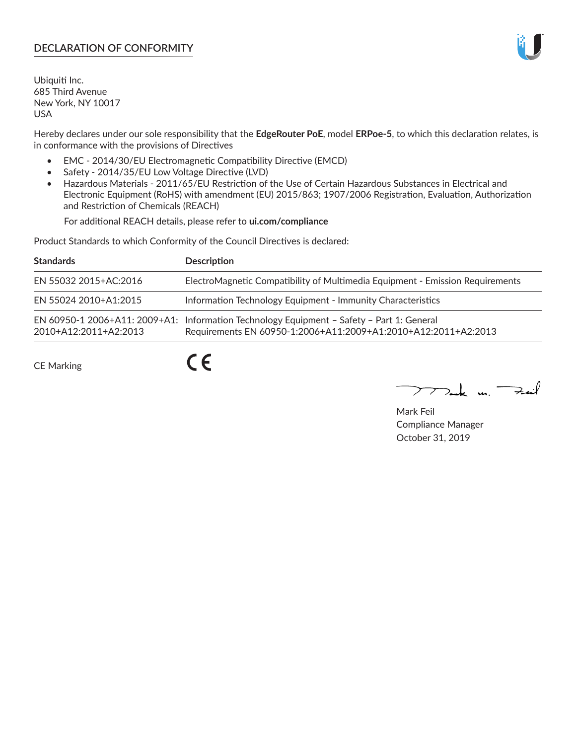# **DECLARATION OF CONFORMITY**

Ubiquiti Inc. 685 Third Avenue New York, NY 10017 USA

Hereby declares under our sole responsibility that the **EdgeRouter PoE**, model **ERPoe-5**, to which this declaration relates, is in conformance with the provisions of Directives

- EMC 2014/30/EU Electromagnetic Compatibility Directive (EMCD)
- Safety 2014/35/EU Low Voltage Directive (LVD)
- Hazardous Materials 2011/65/EU Restriction of the Use of Certain Hazardous Substances in Electrical and Electronic Equipment (RoHS) with amendment (EU) 2015/863; 1907/2006 Registration, Evaluation, Authorization and Restriction of Chemicals (REACH)

For additional REACH details, please refer to **ui.com/compliance**

Product Standards to which Conformity of the Council Directives is declared:

| <b>Standards</b>      | <b>Description</b>                                                                                                                                          |
|-----------------------|-------------------------------------------------------------------------------------------------------------------------------------------------------------|
| EN 55032 2015+AC:2016 | ElectroMagnetic Compatibility of Multimedia Equipment - Emission Requirements                                                                               |
| EN 55024 2010+A1:2015 | Information Technology Equipment - Immunity Characteristics                                                                                                 |
| 2010+A12:2011+A2:2013 | EN 60950-1 2006+A11: 2009+A1: Information Technology Equipment - Safety - Part 1: General<br>Requirements EN 60950-1:2006+A11:2009+A1:2010+A12:2011+A2:2013 |

CE Marking

 $C \in$ 

Mak m. Fail

Mark Feil Compliance Manager October 31, 2019

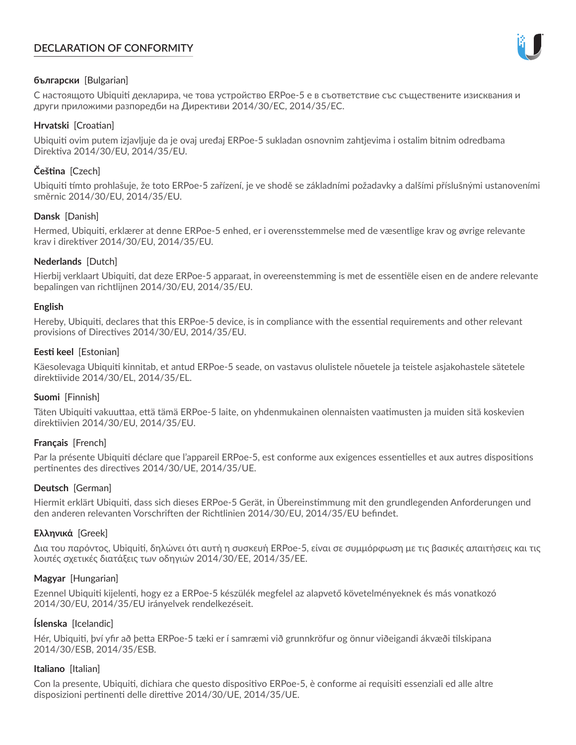# **DECLARATION OF CONFORMITY**



## **български** [Bulgarian]

С настоящото Ubiquiti декларира, че това устройство ERPoe-5 е в съответствие със съществените изисквания и други приложими разпоредби на Директиви 2014/30/ЕС, 2014/35/ЕС.

## **Hrvatski** [Croatian]

Ubiquiti ovim putem izjavljuje da je ovaj uređaj ERPoe-5 sukladan osnovnim zahtjevima i ostalim bitnim odredbama Direktiva 2014/30/EU, 2014/35/EU.

# **Čeština** [Czech]

Ubiquiti tímto prohlašuje, že toto ERPoe-5 zařízení, je ve shodě se základními požadavky a dalšími příslušnými ustanoveními směrnic 2014/30/EU, 2014/35/EU.

## **Dansk** [Danish]

Hermed, Ubiquiti, erklærer at denne ERPoe-5 enhed, er i overensstemmelse med de væsentlige krav og øvrige relevante krav i direktiver 2014/30/EU, 2014/35/EU.

## **Nederlands** [Dutch]

Hierbij verklaart Ubiquiti, dat deze ERPoe-5 apparaat, in overeenstemming is met de essentiële eisen en de andere relevante bepalingen van richtlijnen 2014/30/EU, 2014/35/EU.

### **English**

Hereby, Ubiquiti, declares that this ERPoe-5 device, is in compliance with the essential requirements and other relevant provisions of Directives 2014/30/EU, 2014/35/EU.

## **Eesti keel** [Estonian]

Käesolevaga Ubiquiti kinnitab, et antud ERPoe-5 seade, on vastavus olulistele nõuetele ja teistele asjakohastele sätetele direktiivide 2014/30/EL, 2014/35/EL.

### **Suomi** [Finnish]

Täten Ubiquiti vakuuttaa, että tämä ERPoe-5 laite, on yhdenmukainen olennaisten vaatimusten ja muiden sitä koskevien direktiivien 2014/30/EU, 2014/35/EU.

### **Français** [French]

Par la présente Ubiquiti déclare que l'appareil ERPoe-5, est conforme aux exigences essentielles et aux autres dispositions pertinentes des directives 2014/30/UE, 2014/35/UE.

### **Deutsch** [German]

Hiermit erklärt Ubiquiti, dass sich dieses ERPoe-5 Gerät, in Übereinstimmung mit den grundlegenden Anforderungen und den anderen relevanten Vorschriften der Richtlinien 2014/30/EU, 2014/35/EU befindet.

### **Ελληνικά** [Greek]

Δια του παρόντος, Ubiquiti, δηλώνει ότι αυτή η συσκευή ERPoe-5, είναι σε συμμόρφωση με τις βασικές απαιτήσεις και τις λοιπές σχετικές διατάξεις των οδηγιών 2014/30/EE, 2014/35/EE.

### **Magyar** [Hungarian]

Ezennel Ubiquiti kijelenti, hogy ez a ERPoe-5 készülék megfelel az alapvető követelményeknek és más vonatkozó 2014/30/EU, 2014/35/EU irányelvek rendelkezéseit.

### **Íslenska** [Icelandic]

Hér, Ubiquiti, því yfir að þetta ERPoe-5 tæki er í samræmi við grunnkröfur og önnur viðeigandi ákvæði tilskipana 2014/30/ESB, 2014/35/ESB.

### **Italiano** [Italian]

Con la presente, Ubiquiti, dichiara che questo dispositivo ERPoe-5, è conforme ai requisiti essenziali ed alle altre disposizioni pertinenti delle direttive 2014/30/UE, 2014/35/UE.